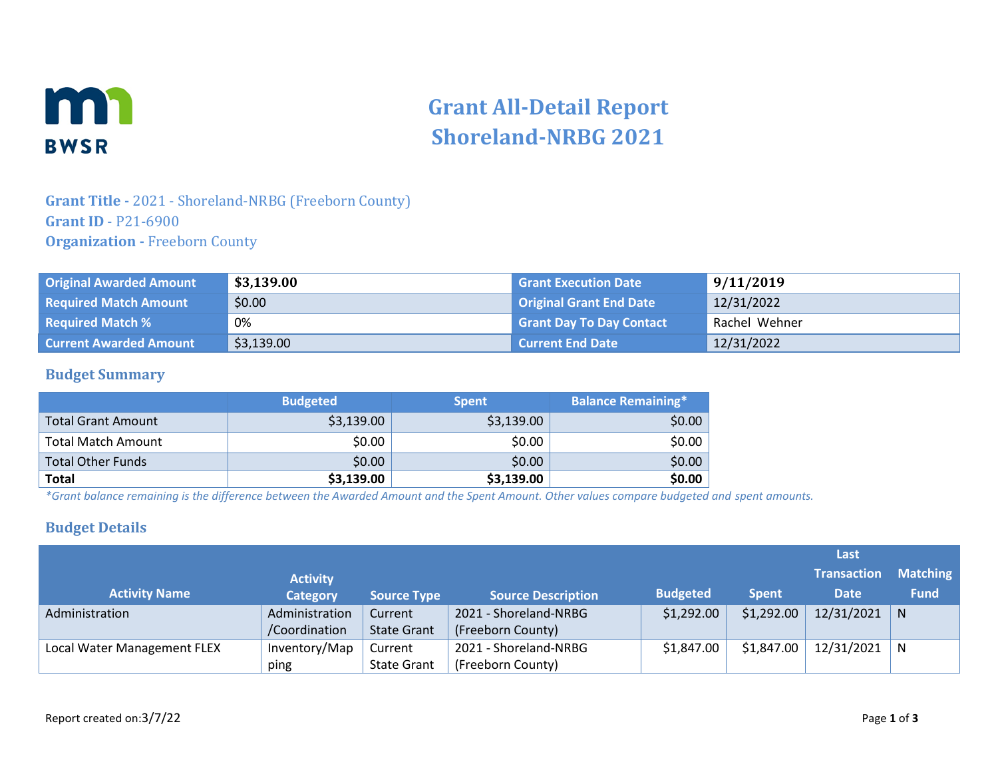

# **Grant All-Detail Report Shoreland-NRBG 2021**

### **Grant Title -** 2021 - Shoreland-NRBG (Freeborn County) **Grant ID** - P21-6900 **Organization -** Freeborn County

| <b>Original Awarded Amount</b> | \$3,139.00 | <b>Grant Execution Date</b>     | 9/11/2019     |
|--------------------------------|------------|---------------------------------|---------------|
| <b>Required Match Amount</b>   | \$0.00     | <b>Original Grant End Date</b>  | 12/31/2022    |
| <b>Required Match %</b>        | 0%         | <b>Grant Day To Day Contact</b> | Rachel Wehner |
| <b>Current Awarded Amount</b>  | \$3,139.00 | <b>Current End Date</b>         | 12/31/2022    |

#### **Budget Summary**

|                           | <b>Budgeted</b> | <b>Spent</b> | <b>Balance Remaining*</b> |
|---------------------------|-----------------|--------------|---------------------------|
| <b>Total Grant Amount</b> | \$3,139.00      | \$3,139.00   | \$0.00                    |
| <b>Total Match Amount</b> | \$0.00          | \$0.00       | \$0.00                    |
| <b>Total Other Funds</b>  | \$0.00          | \$0.00       | \$0.00                    |
| <b>Total</b>              | \$3,139.00      | \$3,139.00   | \$0.00                    |

*\*Grant balance remaining is the difference between the Awarded Amount and the Spent Amount. Other values compare budgeted and spent amounts.*

#### **Budget Details**

|                             |                 |                    |                           |                 |              | Last               |                 |
|-----------------------------|-----------------|--------------------|---------------------------|-----------------|--------------|--------------------|-----------------|
|                             | <b>Activity</b> |                    |                           |                 |              | <b>Transaction</b> | <b>Matching</b> |
| <b>Activity Name</b>        | <b>Category</b> | <b>Source Type</b> | <b>Source Description</b> | <b>Budgeted</b> | <b>Spent</b> | <b>Date</b>        | <b>Fund</b>     |
| Administration              | Administration  | Current            | 2021 - Shoreland-NRBG     | \$1,292.00      | \$1,292.00   | 12/31/2021         | N               |
|                             | /Coordination   | <b>State Grant</b> | (Freeborn County)         |                 |              |                    |                 |
| Local Water Management FLEX | Inventory/Map   | Current            | 2021 - Shoreland-NRBG     | \$1,847.00      | \$1,847.00   | 12/31/2021         | N               |
|                             | ping            | <b>State Grant</b> | (Freeborn County)         |                 |              |                    |                 |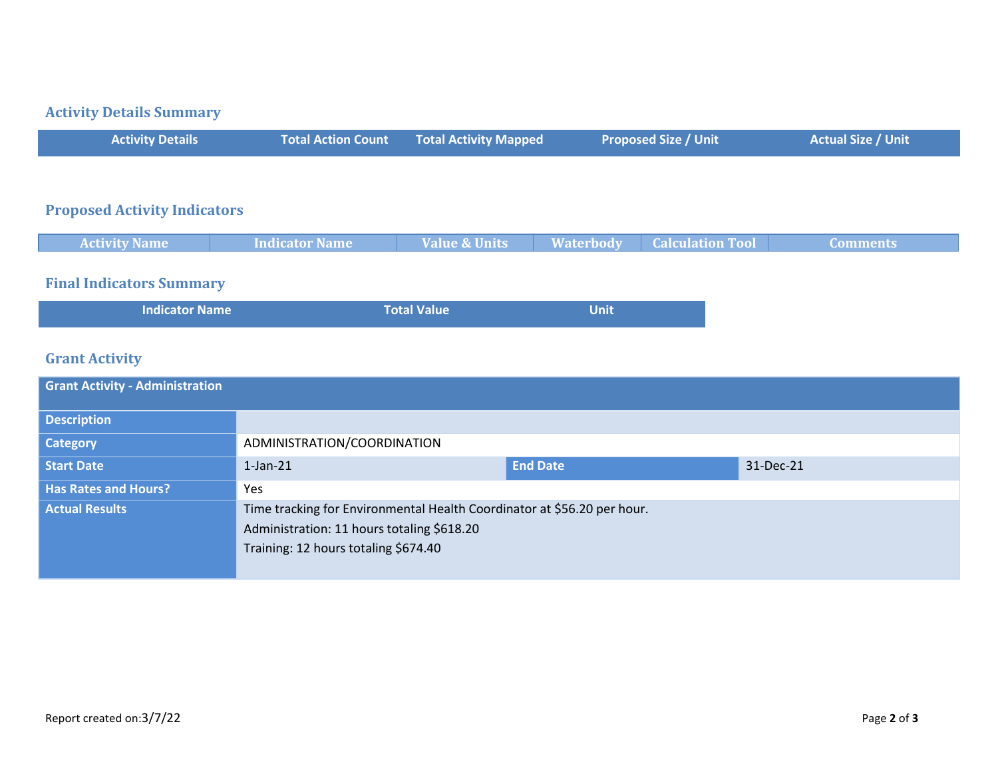#### **Activity Details Summary**

| <b>Activity Details</b> | <b>Total Action Count Fotal Activity Mapped</b> | <b>Proposed Size / Unit</b> | <b>Actual Size / Unit</b> |
|-------------------------|-------------------------------------------------|-----------------------------|---------------------------|
|                         |                                                 |                             |                           |

#### **Proposed Activity Indicators**

| <b>Activity Name</b> | <b>Indicator Name</b> | <b>Value &amp; Units</b> | <b>Waterbody</b> | <b>Calculation Tool</b> | Comments |
|----------------------|-----------------------|--------------------------|------------------|-------------------------|----------|
|                      |                       |                          |                  |                         |          |

# **Final Indicators Summary**

| Indicator Name | <b>Total Value</b> | <b>Unit</b> |
|----------------|--------------------|-------------|
|                |                    |             |

## **Grant Activity**

| ADMINISTRATION/COORDINATION                                                        |                 |                                                                         |
|------------------------------------------------------------------------------------|-----------------|-------------------------------------------------------------------------|
| $1$ -Jan- $21$                                                                     | <b>End Date</b> | 31-Dec-21                                                               |
| Yes                                                                                |                 |                                                                         |
| Administration: 11 hours totaling \$618.20<br>Training: 12 hours totaling \$674.40 |                 |                                                                         |
|                                                                                    |                 | Time tracking for Environmental Health Coordinator at \$56.20 per hour. |